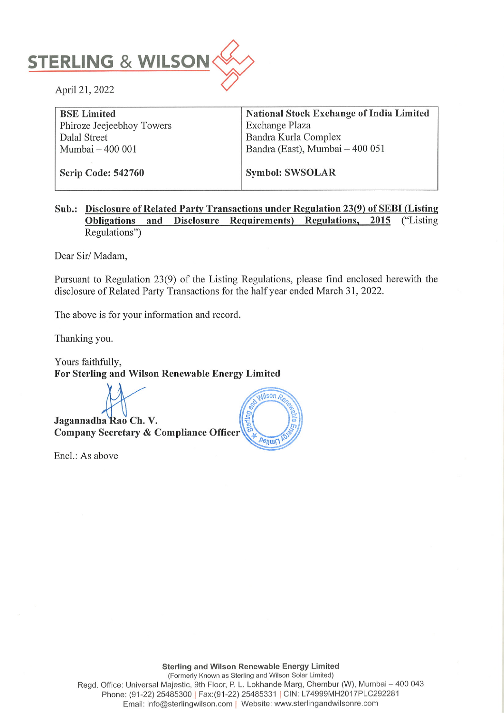

BSE Limited National Stock Exchange of India Limited Phiroze Jeejeebhoy Towers Exchange Plaza Dalal Street Bandra Kurla Complex Mumbai – 400 001 **Bandra (East)**, Mumbai – 400 051

Scrip Code: 542760 | Symbol: SWSOLAR

# Sub.: Disclosure of Related Party Transactions under Regulation 23(9) of SEBI (Listing Obligations and Disclosure Reguirements) Regulations, 2015 ("Listing Regulations")

Dear Sir/ Madam,

Pursuant to Regulation 23(9) of the Listing Regulations, please find enclosed herewith the disclosure of Related Party Transactions for the half year ended March 31, 2022.

The above is for your information and record.

Thanking you.

Yours faithfully, For Sterling and Wilson Renewable Energy Limited

Jagannadha Rao Ch. V.<br>Company Secretary & Compliance Officer

Encl.: As above



Sterling and Wilson Renewable Energy Limited (Formerly Known as Sterling and Wilson Solar Limited) Regd. Office: Universal Majestic, 9th Floor, P. L. Lokhande Marg, Chembur (W), Mumbai — 400 043 Phone: (91-22) 25485300 | Fax:(91-22) 25485331 | CIN: L7A999MH2017PLC292281 Email: info@sterlingwilson.com | Website: www.sterlingandwilsonre.com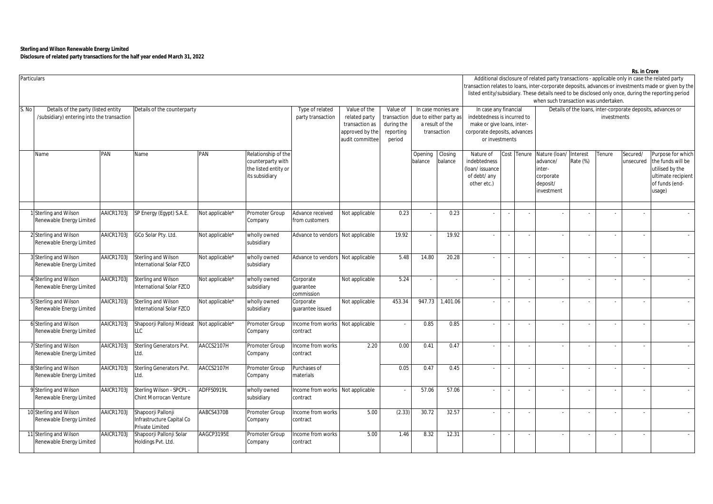| <b>Particulars</b>                                                                                                        |                                                        |            |                                                                    |                 |                                                                                                                                                                                                                                                                                 |                                              |                |        |                    |                          |                                                                            |                                                                                           |                                                                            |                                                                           |                      |        | Rs. in Crore             | Additional disclosure of related party transactions - applicable only in case the related party<br>transaction relates to loans, inter-corporate deposits, advances or investments made or given by the |  |  |
|---------------------------------------------------------------------------------------------------------------------------|--------------------------------------------------------|------------|--------------------------------------------------------------------|-----------------|---------------------------------------------------------------------------------------------------------------------------------------------------------------------------------------------------------------------------------------------------------------------------------|----------------------------------------------|----------------|--------|--------------------|--------------------------|----------------------------------------------------------------------------|-------------------------------------------------------------------------------------------|----------------------------------------------------------------------------|---------------------------------------------------------------------------|----------------------|--------|--------------------------|---------------------------------------------------------------------------------------------------------------------------------------------------------------------------------------------------------|--|--|
|                                                                                                                           |                                                        |            |                                                                    |                 |                                                                                                                                                                                                                                                                                 |                                              |                |        |                    |                          |                                                                            |                                                                                           |                                                                            | when such transaction was undertaken.                                     |                      |        |                          | listed entity/subsidiary. These details need to be disclosed only once, during the reporting period                                                                                                     |  |  |
| Details of the party (listed entity<br>Details of the counterparty<br>S. No<br>/subsidiary) entering into the transaction |                                                        |            |                                                                    |                 | Type of related<br>Value of the<br>Value of<br>In case monies are<br>party transaction<br>related party<br>transaction<br>due to either party as<br>a result of the<br>transaction as<br>during the<br>approved by the<br>reporting<br>transaction<br>audit committee<br>period |                                              |                |        |                    |                          | In case any financial<br>or investments                                    | indebtedness is incurred to<br>make or give loans, inter-<br>corporate deposits, advances | Details of the loans, inter-corporate deposits, advances or<br>investments |                                                                           |                      |        |                          |                                                                                                                                                                                                         |  |  |
| Name                                                                                                                      |                                                        | PAN        | Name                                                               | PAN             | Relationship of the<br>counterparty with<br>the listed entity or<br>its subsidiary                                                                                                                                                                                              |                                              |                |        | Opening<br>balance | Closing<br>balance       | Nature of<br>indebtedness<br>(loan/issuance<br>of debt/ any<br>other etc.) | `ost l                                                                                    | <b>Fenure</b>                                                              | Nature (Ioan<br>advance/<br>inter-<br>corporate<br>deposit/<br>investment | Interest<br>Rate (%) | Tenure | Secured/<br>unsecured    | Purpose for which<br>the funds will be<br>utilised by the<br>ultimate recipient<br>of funds (end-<br>usage)                                                                                             |  |  |
|                                                                                                                           | 1 Sterling and Wilson<br>Renewable Energy Limited      | AAICR1703J | SP Energy (Egypt) S.A.E.                                           | Not applicable* | Promoter Group<br>Company                                                                                                                                                                                                                                                       | Advance received<br>from customers           | Not applicable | 0.23   |                    | 0.23                     |                                                                            |                                                                                           |                                                                            |                                                                           |                      |        |                          |                                                                                                                                                                                                         |  |  |
|                                                                                                                           | 2 Sterling and Wilson<br>Renewable Energy Limited      | AAICR1703J | GCo Solar Pty. Ltd.                                                | Not applicable* | wholly owned<br>subsidiary                                                                                                                                                                                                                                                      | Advance to vendors                           | Not applicable | 19.92  |                    | 19.92                    |                                                                            |                                                                                           |                                                                            | $\sim$                                                                    |                      |        | $\sim$                   |                                                                                                                                                                                                         |  |  |
|                                                                                                                           | 3 Sterling and Wilson<br>Renewable Energy Limited      | AAICR1703J | Sterling and Wilson<br>International Solar FZCO                    | Not applicable* | wholly owned<br>subsidiary                                                                                                                                                                                                                                                      | Advance to vendors Not applicable            |                | 5.48   | 14.80              | 20.28                    |                                                                            |                                                                                           |                                                                            |                                                                           |                      |        |                          |                                                                                                                                                                                                         |  |  |
|                                                                                                                           | <b>Sterling and Wilson</b><br>Renewable Energy Limited | AAICR1703J | Sterling and Wilson<br>International Solar F7CO                    | Not applicable* | wholly owned<br>subsidiary                                                                                                                                                                                                                                                      | Corporate<br>quarantee<br>commission         | Not applicable | 5.24   |                    | $\overline{\phantom{a}}$ |                                                                            |                                                                                           |                                                                            | $\sim$                                                                    |                      |        |                          |                                                                                                                                                                                                         |  |  |
|                                                                                                                           | 5 Sterling and Wilson<br>Renewable Energy Limited      | AAICR1703J | Sterling and Wilson<br>International Solar FZCO                    | Not applicable* | wholly owned<br>subsidiary                                                                                                                                                                                                                                                      | Corporate<br>quarantee issued                | Not applicable | 453.34 | 947.73             | 1,401.06                 |                                                                            | $\sim$                                                                                    | $\sim$                                                                     | $\sim$                                                                    |                      |        | $\sim$                   |                                                                                                                                                                                                         |  |  |
|                                                                                                                           | 6 Sterling and Wilson<br>Renewable Energy Limited      | AAICR1703J | Shapoorji Pallonji Mideast<br>LLC                                  | Not applicable* | Promoter Group<br>Company                                                                                                                                                                                                                                                       | Income from works<br>contract                | Not applicable |        | 0.85               | 0.85                     |                                                                            |                                                                                           |                                                                            |                                                                           |                      |        |                          |                                                                                                                                                                                                         |  |  |
|                                                                                                                           | Sterling and Wilson<br>Renewable Energy Limited        | AAICR1703J | Sterling Generators Pvt.<br>Ltd.                                   | AACCS2107H      | Promoter Group<br>Company                                                                                                                                                                                                                                                       | ncome from works<br>contract                 | 2.20           | 0.00   | 0.41               | 0.47                     |                                                                            |                                                                                           |                                                                            |                                                                           |                      |        |                          |                                                                                                                                                                                                         |  |  |
|                                                                                                                           | 8 Sterling and Wilson<br>Renewable Energy Limited      | AAICR1703J | Sterling Generators Pvt.<br>Ltd.                                   | AACCS2107H      | Promoter Group<br>Company                                                                                                                                                                                                                                                       | Purchases of<br>materials                    |                | 0.05   | 0.47               | 0.45                     | $\sim$                                                                     | $\overline{\phantom{a}}$                                                                  | $\sim$                                                                     | $\sim$                                                                    |                      |        | $\sim$                   |                                                                                                                                                                                                         |  |  |
|                                                                                                                           | 9 Sterling and Wilson<br>Renewable Energy Limited      | AAICR1703J | Sterling Wilson - SPCPL -<br>Chint Morrocan Venture                | ADFFS0919L      | wholly owned<br>subsidiary                                                                                                                                                                                                                                                      | Income from works Not applicable<br>contract |                |        | 57.06              | 57.06                    |                                                                            |                                                                                           |                                                                            |                                                                           |                      |        |                          |                                                                                                                                                                                                         |  |  |
|                                                                                                                           | 10 Sterling and Wilson<br>Renewable Energy Limited     | AAICR1703J | Shapoorji Pallonji<br>Infrastructure Capital Co<br>Private Limited | AABCS4370B      | Promoter Group<br>Company                                                                                                                                                                                                                                                       | ncome from works<br>contract                 | 5.00           | (2.33) | 30.72              | 32.57                    |                                                                            |                                                                                           |                                                                            | $\sim$                                                                    |                      |        |                          |                                                                                                                                                                                                         |  |  |
|                                                                                                                           | 11 Sterling and Wilson<br>Renewable Energy Limited     | AAICR1703J | Shapoorji Pallonji Solar<br>Holdings Pvt. Ltd.                     | AAGCP3195E      | Promoter Group<br>Company                                                                                                                                                                                                                                                       | ncome from works<br>contract                 | 5.00           | 1.46   | 8.32               | 12.31                    | $\sim$                                                                     | $\sim$                                                                                    | $\overline{\phantom{a}}$                                                   | $\sim$                                                                    |                      |        | $\overline{\phantom{a}}$ |                                                                                                                                                                                                         |  |  |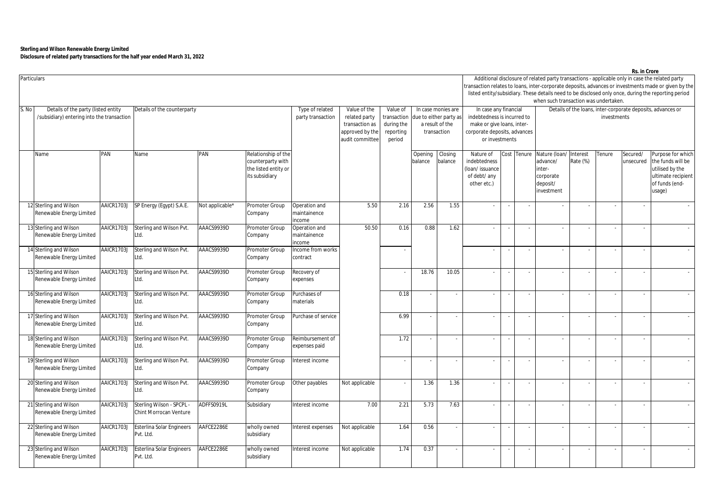|       | Particulars                                                                       |            |                                                     |                                      |                                                                                       |                                                              |                                                                                |      |                    |                                         |                                                                                           |    |                                                                            | when such transaction was undertaken.                                               |          |        |                       | Additional disclosure of related party transactions - applicable only in case the related party<br>ransaction relates to loans, inter-corporate deposits, advances or investments made or given by the<br>listed entity/subsidiary. These details need to be disclosed only once, during the reporting period |  |  |
|-------|-----------------------------------------------------------------------------------|------------|-----------------------------------------------------|--------------------------------------|---------------------------------------------------------------------------------------|--------------------------------------------------------------|--------------------------------------------------------------------------------|------|--------------------|-----------------------------------------|-------------------------------------------------------------------------------------------|----|----------------------------------------------------------------------------|-------------------------------------------------------------------------------------|----------|--------|-----------------------|---------------------------------------------------------------------------------------------------------------------------------------------------------------------------------------------------------------------------------------------------------------------------------------------------------------|--|--|
| S. No | Details of the party (listed entity<br>/subsidiary) entering into the transaction |            | Details of the counterparty                         | Type of related<br>party transaction | Value of the<br>related party<br>transaction as<br>approved by the<br>audit committee | Value of<br>transaction<br>during the<br>reporting<br>period | In case monies are<br>due to either party as<br>a result of the<br>transaction |      |                    | In case any financial<br>or investments | indebtedness is incurred to<br>make or give loans, inter-<br>corporate deposits, advances |    | Details of the loans, inter-corporate deposits, advances or<br>investments |                                                                                     |          |        |                       |                                                                                                                                                                                                                                                                                                               |  |  |
|       | Name                                                                              | PAN        | Name                                                | PAN                                  | Relationship of the<br>counterparty with<br>the listed entity or<br>its subsidiary    |                                                              |                                                                                |      | Opening<br>balance | Closing<br>balance                      | Nature of<br>indebtedness<br>(loan/issuance<br>of debt/ any<br>other etc.)                |    | Cost Tenure                                                                | Nature (Ioan/ Interest<br>advance/<br>inter-<br>corporate<br>deposit/<br>investment | Rate (%) | Tenure | Secured/<br>unsecured | Purpose for which<br>the funds will be<br>utilised by the<br>ultimate recipient<br>of funds (end-<br>usage)                                                                                                                                                                                                   |  |  |
|       | 12 Sterling and Wilson<br>Renewable Energy Limited                                | AAICR1703J | SP Energy (Egypt) S.A.E.                            | Not applicable*                      | Promoter Group<br>Company                                                             | Operation and<br>maintainence<br>ncome                       | 5.50                                                                           | 2.16 | 2.56               | 1.55                                    |                                                                                           |    |                                                                            |                                                                                     |          |        |                       |                                                                                                                                                                                                                                                                                                               |  |  |
|       | 13 Sterling and Wilson<br>Renewable Energy Limited                                | AAICR1703J | Sterling and Wilson Pvt.<br>Ltd.                    | AAACS9939D                           | Promoter Group<br>Company                                                             | Operation and<br>naintainence<br>ncome                       | 50.50                                                                          | 0.16 | 0.88               | 1.62                                    |                                                                                           | ÷. | ÷.                                                                         |                                                                                     |          |        | $\sim$                |                                                                                                                                                                                                                                                                                                               |  |  |
|       | 14 Sterling and Wilson<br>Renewable Energy Limited                                | AAICR1703J | Sterling and Wilson Pvt.<br>Ltd.                    | AAACS9939D                           | Promoter Group<br>Company                                                             | ncome from works<br>contract                                 |                                                                                |      |                    |                                         |                                                                                           |    | $\sim$                                                                     | ÷.                                                                                  | $\sim$   | $\sim$ | $\sim$                |                                                                                                                                                                                                                                                                                                               |  |  |
|       | 15 Sterling and Wilson<br>Renewable Energy Limited                                | AAICR1703J | Sterling and Wilson Pvt.<br>Ltd.                    | AAACS9939D                           | Promoter Group<br>Company                                                             | Recovery of<br>expenses                                      |                                                                                |      | 18.76              | 10.05                                   |                                                                                           |    |                                                                            |                                                                                     |          |        | $\sim$                |                                                                                                                                                                                                                                                                                                               |  |  |
|       | 16 Sterling and Wilson<br>Renewable Energy Limited                                | AAICR1703J | Sterling and Wilson Pvt.<br>Ltd.                    | AAACS9939D                           | Promoter Group<br>Company                                                             | Purchases of<br>materials                                    |                                                                                | 0.18 |                    | $\overline{\phantom{a}}$                |                                                                                           |    | $\overline{\phantom{a}}$                                                   |                                                                                     |          |        | $\sim$                |                                                                                                                                                                                                                                                                                                               |  |  |
|       | 17 Sterling and Wilson<br>Renewable Energy Limited                                | AAICR1703. | Sterling and Wilson Pvt.<br>Ltd.                    | AAACS9939D                           | Promoter Group<br>Company                                                             | Purchase of service                                          |                                                                                | 6.99 |                    | $\overline{\phantom{a}}$                |                                                                                           |    |                                                                            |                                                                                     |          |        | $\hat{\phantom{a}}$   |                                                                                                                                                                                                                                                                                                               |  |  |
|       | 18 Sterling and Wilson<br>Renewable Energy Limited                                | AAICR1703. | Sterling and Wilson Pvt.<br>Ltd.                    | AAACS9939D                           | Promoter Group<br>Company                                                             | Reimbursement of<br>expenses paid                            |                                                                                | 1.72 |                    | $\hat{\phantom{a}}$                     | $\sim$                                                                                    |    |                                                                            |                                                                                     | $\sim$   |        | $\bar{\phantom{a}}$   |                                                                                                                                                                                                                                                                                                               |  |  |
|       | 19 Sterling and Wilson<br>Renewable Energy Limited                                | AAICR1703J | Sterling and Wilson Pvt.<br>Ltd.                    | AAACS9939D                           | Promoter Group<br>Company                                                             | nterest income                                               |                                                                                |      |                    |                                         |                                                                                           |    |                                                                            |                                                                                     |          |        |                       | $\sim$                                                                                                                                                                                                                                                                                                        |  |  |
|       | 20 Sterling and Wilson<br>Renewable Energy Limited                                | AAICR1703J | Sterling and Wilson Pvt.<br>Ltd.                    | AAACS9939D                           | Promoter Group<br>Company                                                             | Other payables                                               | Not applicable                                                                 |      | 1.36               | 1.36                                    |                                                                                           |    |                                                                            |                                                                                     |          |        |                       |                                                                                                                                                                                                                                                                                                               |  |  |
|       | 21 Sterling and Wilson<br>Renewable Energy Limited                                | AAICR1703J | Sterling Wilson - SPCPL -<br>Chint Morrocan Venture | ADFFS0919L                           | Subsidiary                                                                            | Interest income                                              | 7.00                                                                           | 2.21 | 5.73               | 7.63                                    |                                                                                           |    |                                                                            |                                                                                     |          |        |                       |                                                                                                                                                                                                                                                                                                               |  |  |
|       | 22 Sterling and Wilson<br>Renewable Energy Limited                                | AAICR1703J | <b>Esterlina Solar Engineers</b><br>Pvt. Ltd.       | AAFCE2286E                           | wholly owned<br>subsidiary                                                            | Interest expenses                                            | Not applicable                                                                 | 1.64 | 0.56               | $\hat{\phantom{a}}$                     |                                                                                           |    | $\sim$                                                                     | ÷,                                                                                  | $\sim$   |        | $\bar{\phantom{a}}$   |                                                                                                                                                                                                                                                                                                               |  |  |
|       | 23 Sterling and Wilson<br>Renewable Energy Limited                                | AAICR1703J | <b>Esterlina Solar Engineers</b><br>Pvt. Ltd.       | AAFCE2286E                           | wholly owned<br>subsidiary                                                            | Interest income                                              | Not applicable                                                                 | 1.74 | 0.37               |                                         |                                                                                           |    |                                                                            |                                                                                     |          |        | $\sim$                |                                                                                                                                                                                                                                                                                                               |  |  |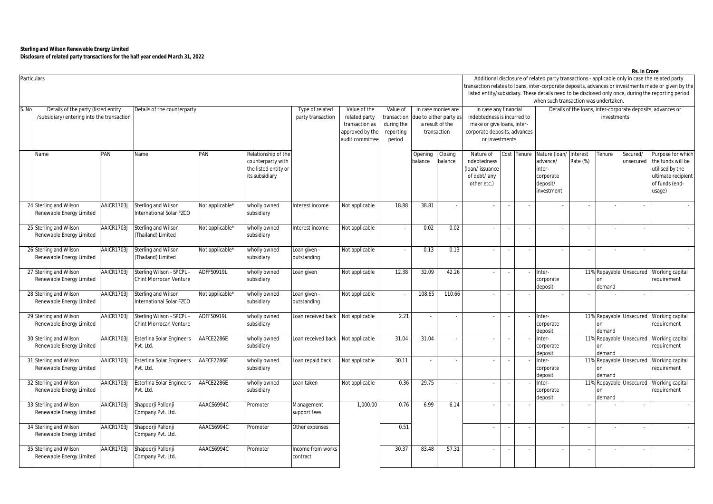|                                                                                                                           | Particulars                                        |            |                                                            |                 |                                                                                    |                                    |                                                                                                                                                                                                    |       |                    |                                                |                                                                            |                                                                                                                                                                                                           |                      |                                                                            |                      |              |                         | Additional disclosure of related party transactions - applicable only in case the related party<br>ransaction relates to loans, inter-corporate deposits, advances or investments made or given by the<br>listed entity/subsidiary. These details need to be disclosed only once, during the reporting period |  |  |
|---------------------------------------------------------------------------------------------------------------------------|----------------------------------------------------|------------|------------------------------------------------------------|-----------------|------------------------------------------------------------------------------------|------------------------------------|----------------------------------------------------------------------------------------------------------------------------------------------------------------------------------------------------|-------|--------------------|------------------------------------------------|----------------------------------------------------------------------------|-----------------------------------------------------------------------------------------------------------------------------------------------------------------------------------------------------------|----------------------|----------------------------------------------------------------------------|----------------------|--------------|-------------------------|---------------------------------------------------------------------------------------------------------------------------------------------------------------------------------------------------------------------------------------------------------------------------------------------------------------|--|--|
| S. No<br>Details of the party (listed entity<br>Details of the counterparty<br>/subsidiary) entering into the transaction |                                                    |            |                                                            |                 |                                                                                    |                                    | Type of related<br>Value of the<br>Value of<br>In case monies are<br>party transaction<br>related party<br>ransaction<br>due to either party as<br>transaction as<br>during the<br>a result of the |       |                    |                                                |                                                                            | when such transaction was undertaken.<br>In case any financial<br>Details of the loans, inter-corporate deposits, advances or<br>indebtedness is incurred to<br>investments<br>make or give loans, inter- |                      |                                                                            |                      |              |                         |                                                                                                                                                                                                                                                                                                               |  |  |
|                                                                                                                           |                                                    |            |                                                            |                 |                                                                                    | approved by the<br>audit committee | reporting<br>period                                                                                                                                                                                |       | transaction        | corporate deposits, advances<br>or investments |                                                                            |                                                                                                                                                                                                           |                      |                                                                            |                      |              |                         |                                                                                                                                                                                                                                                                                                               |  |  |
|                                                                                                                           | Name                                               | PAN        | Name                                                       | PAN             | Relationship of the<br>counterparty with<br>the listed entity or<br>its subsidiary |                                    |                                                                                                                                                                                                    |       | Opening<br>balance | Closing<br>balance                             | Nature of<br>indebtedness<br>(loan/issuance<br>of debt/ any<br>other etc.) |                                                                                                                                                                                                           | Cost Tenure          | Nature (loan/<br>advance/<br>inter-<br>corporate<br>deposit/<br>investment | Interest<br>Rate (%) | Tenure       | Secured/<br>unsecured   | Purpose for which<br>the funds will be<br>utilised by the<br>ultimate recipient<br>of funds (end-<br>usage)                                                                                                                                                                                                   |  |  |
|                                                                                                                           | 24 Sterling and Wilson<br>Renewable Energy Limited | AAICR1703J | Sterling and Wilson<br>International Solar FZCO            | Not applicable* | wholly owned<br>subsidiary                                                         | Interest income                    | Not applicable                                                                                                                                                                                     | 18.88 | 38.81              | $\hat{\phantom{a}}$                            | $\sim$                                                                     |                                                                                                                                                                                                           |                      |                                                                            |                      |              |                         |                                                                                                                                                                                                                                                                                                               |  |  |
|                                                                                                                           | 25 Sterling and Wilson<br>Renewable Energy Limited | AAICR1703J | Sterling and Wilson<br>(Thailand) Limited                  | Not applicable* | wholly owned<br>subsidiary                                                         | Interest income                    | Not applicable                                                                                                                                                                                     |       | 0.02               | 0.02                                           | $\sim$                                                                     |                                                                                                                                                                                                           |                      | $\blacksquare$                                                             |                      |              |                         |                                                                                                                                                                                                                                                                                                               |  |  |
|                                                                                                                           | 26 Sterling and Wilson<br>Renewable Energy Limited | AAICR1703J | Sterling and Wilson<br>(Thailand) Limited                  | Not applicable* | wholly owned<br>subsidiary                                                         | Loan given -<br>outstanding        | Not applicable                                                                                                                                                                                     |       | 0.13               | 0.13                                           |                                                                            |                                                                                                                                                                                                           |                      |                                                                            |                      |              |                         |                                                                                                                                                                                                                                                                                                               |  |  |
|                                                                                                                           | 27 Sterling and Wilson<br>Renewable Energy Limited | AAICR1703J | Sterling Wilson - SPCPL -<br><b>Chint Morrocan Venture</b> | ADFFS0919L      | wholly owned<br>subsidiary                                                         | Loan given                         | Not applicable                                                                                                                                                                                     | 12.38 | 32.09              | 42.26                                          |                                                                            |                                                                                                                                                                                                           |                      | Inter-<br>corporate<br>deposit                                             |                      | on<br>demand |                         | 11% Repayable Unsecured Working capital<br>requirement                                                                                                                                                                                                                                                        |  |  |
|                                                                                                                           | 28 Sterling and Wilson<br>Renewable Energy Limited | AAICR1703J | Sterling and Wilson<br>International Solar F7CO            | Not applicable* | wholly owned<br>subsidiary                                                         | Loan given -<br>outstanding        | Not applicable                                                                                                                                                                                     |       | 108.65             | 110.66                                         |                                                                            |                                                                                                                                                                                                           |                      |                                                                            |                      |              |                         |                                                                                                                                                                                                                                                                                                               |  |  |
|                                                                                                                           | 29 Sterling and Wilson<br>Renewable Energy Limited | AAICR1703J | Sterling Wilson - SPCPL<br><b>Chint Morrocan Venture</b>   | ADFFS0919L      | vholly owned<br>subsidiary                                                         | Loan received back                 | Not applicable                                                                                                                                                                                     | 2.21  |                    | $\overline{\phantom{a}}$                       | $\sim$                                                                     |                                                                                                                                                                                                           |                      | Inter-<br>corporate<br>deposit                                             |                      | on<br>demand | 11% Repayable Unsecured | Working capital<br>requirement                                                                                                                                                                                                                                                                                |  |  |
|                                                                                                                           | 30 Sterling and Wilson<br>Renewable Energy Limited | AAICR1703J | Esterlina Solar Engineers<br>Pvt. Ltd.                     | AAFCE2286E      | wholly owned<br>subsidiary                                                         | Loan received back                 | Not applicable                                                                                                                                                                                     | 31.04 | 31.04              | ä,                                             | $\sim$                                                                     |                                                                                                                                                                                                           |                      | Inter-<br>corporate<br>deposit                                             |                      | on<br>demand | 11% Repayable Unsecured | Working capital<br>requirement                                                                                                                                                                                                                                                                                |  |  |
|                                                                                                                           | 31 Sterling and Wilson<br>Renewable Energy Limited | AAICR1703J | Esterlina Solar Engineers<br>Pvt. Ltd.                     | AAFCE2286E      | wholly owned<br>subsidiary                                                         | Loan repaid back                   | Not applicable                                                                                                                                                                                     | 30.11 |                    |                                                |                                                                            |                                                                                                                                                                                                           |                      | Inter-<br>corporate<br>deposit                                             |                      | on<br>demand | 11% Repayable Unsecured | Working capital<br>requirement                                                                                                                                                                                                                                                                                |  |  |
|                                                                                                                           | 32 Sterling and Wilson<br>Renewable Energy Limited | AAICR1703J | <b>Esterlina Solar Engineers</b><br>Pvt. Ltd.              | AAFCE2286E      | wholly owned<br>subsidiary                                                         | Loan taken                         | Not applicable                                                                                                                                                                                     | 0.36  | 29.75              | $\hat{\phantom{a}}$                            |                                                                            |                                                                                                                                                                                                           |                      | Inter-<br>corporate<br>deposit                                             |                      | on<br>demand | 11% Repayable Unsecured | Working capital<br>requirement                                                                                                                                                                                                                                                                                |  |  |
|                                                                                                                           | 33 Sterling and Wilson<br>Renewable Energy Limited | AAICR1703J | Shapoorji Pallonji<br>Company Pvt. Ltd.                    | AAACS6994C      | Promoter                                                                           | Management<br>support fees         | 1,000.00                                                                                                                                                                                           | 0.76  | 6.99               | 6.14                                           |                                                                            |                                                                                                                                                                                                           |                      |                                                                            |                      |              |                         |                                                                                                                                                                                                                                                                                                               |  |  |
|                                                                                                                           | 34 Sterling and Wilson<br>Renewable Energy Limited | AAICR1703J | Shapoorji Pallonji<br>Company Pvt. Ltd.                    | AAACS6994C      | Promoter                                                                           | Other expenses                     |                                                                                                                                                                                                    | 0.51  |                    |                                                |                                                                            |                                                                                                                                                                                                           | $\ddot{\phantom{a}}$ | $\blacksquare$                                                             |                      |              |                         |                                                                                                                                                                                                                                                                                                               |  |  |
|                                                                                                                           | 35 Sterling and Wilson<br>Renewable Energy Limited | AAICR1703J | Shapoorji Pallonji<br>Company Pvt. Ltd.                    | AAACS6994C      | Promoter                                                                           | Income from works<br>contract      |                                                                                                                                                                                                    | 30.37 | 83.48              | 57.31                                          |                                                                            |                                                                                                                                                                                                           |                      |                                                                            |                      |              |                         |                                                                                                                                                                                                                                                                                                               |  |  |

**Rs. in Crore**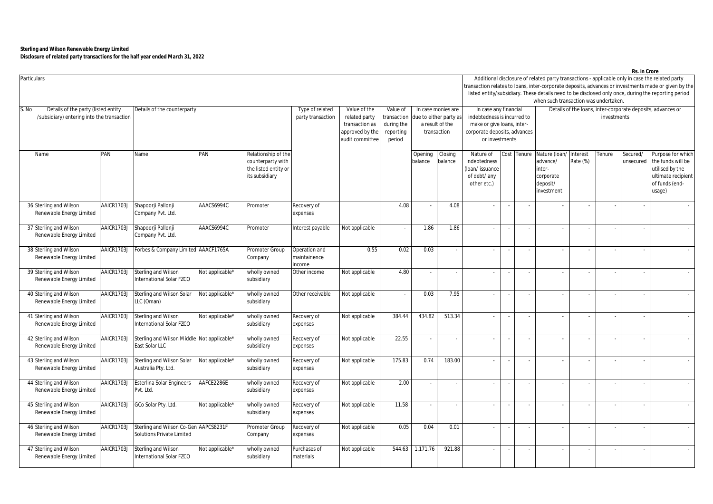|       | Particulars                                                                       |            |                                                                    |                 |                                                                                    |                                         |                                                                                                                                                                                                                                                                                |        |                    |                    |                                                                                                                                      |                          |                          | when such transaction was undertaken.                                      |                      |        |                          | Additional disclosure of related party transactions - applicable only in case the related party<br>ransaction relates to loans, inter-corporate deposits, advances or investments made or given by the<br>listed entity/subsidiary. These details need to be disclosed only once, during the reporting period |  |  |  |  |
|-------|-----------------------------------------------------------------------------------|------------|--------------------------------------------------------------------|-----------------|------------------------------------------------------------------------------------|-----------------------------------------|--------------------------------------------------------------------------------------------------------------------------------------------------------------------------------------------------------------------------------------------------------------------------------|--------|--------------------|--------------------|--------------------------------------------------------------------------------------------------------------------------------------|--------------------------|--------------------------|----------------------------------------------------------------------------|----------------------|--------|--------------------------|---------------------------------------------------------------------------------------------------------------------------------------------------------------------------------------------------------------------------------------------------------------------------------------------------------------|--|--|--|--|
| S. No | Details of the party (listed entity<br>/subsidiary) entering into the transaction |            | Details of the counterparty                                        |                 |                                                                                    |                                         | Type of related<br>Value of the<br>Value of<br>In case monies are<br>related party<br>ransaction<br>due to either party as<br>party transaction<br>during the<br>a result of the<br>transaction as<br>approved by the<br>transaction<br>reporting<br>audit committee<br>period |        |                    |                    | In case any financial<br>indebtedness is incurred to<br>make or give loans, inter-<br>corporate deposits, advances<br>or investments |                          |                          | Details of the loans, inter-corporate deposits, advances or<br>investments |                      |        |                          |                                                                                                                                                                                                                                                                                                               |  |  |  |  |
|       | Name                                                                              | PAN        | Name                                                               | PAN             | Relationship of the<br>counterparty with<br>the listed entity or<br>its subsidiary |                                         |                                                                                                                                                                                                                                                                                |        | Opening<br>balance | Closing<br>balance | Nature of<br>indebtedness<br>(loan/issuance<br>of debt/ any<br>other etc.)                                                           | Cost                     | Tenure                   | Nature (loan/<br>advance/<br>inter-<br>corporate<br>deposit/<br>investment | Interest<br>Rate (%) | enure  | Secured/<br>unsecured    | Purpose for which<br>the funds will be<br>utilised by the<br>ultimate recipient<br>of funds (end-<br>usage)                                                                                                                                                                                                   |  |  |  |  |
|       | 36 Sterling and Wilson<br>Renewable Energy Limited                                | AAICR1703J | Shapoorji Pallonji<br>Company Pvt. Ltd.                            | AAACS6994C      | Promoter                                                                           | Recovery of<br>expenses                 |                                                                                                                                                                                                                                                                                | 4.08   |                    | 4.08               |                                                                                                                                      | $\sim$                   | $\sim$                   |                                                                            |                      |        |                          |                                                                                                                                                                                                                                                                                                               |  |  |  |  |
|       | 37 Sterling and Wilson<br>Renewable Energy Limited                                | AAICR1703J | Shapoorji Pallonji<br>Company Pvt. Ltd.                            | AAACS6994C      | Promoter                                                                           | Interest payable                        | Not applicable                                                                                                                                                                                                                                                                 |        | 1.86               | 1.86               | $\omega$                                                                                                                             | $\sim$                   | $\sim$                   | ä,                                                                         | $\sim$               |        | $\omega$                 |                                                                                                                                                                                                                                                                                                               |  |  |  |  |
|       | 38 Sterling and Wilson<br>Renewable Energy Limited                                | AAICR1703J | Forbes & Company Limited AAACF1765A                                |                 | Promoter Group<br>Company                                                          | Operation and<br>maintainence<br>income | 0.55                                                                                                                                                                                                                                                                           | 0.02   | 0.03               |                    |                                                                                                                                      | $\sim$                   | $\overline{\phantom{a}}$ |                                                                            |                      |        | $\sim$                   |                                                                                                                                                                                                                                                                                                               |  |  |  |  |
|       | 39 Sterling and Wilson<br>Renewable Energy Limited                                | AAICR1703J | Sterling and Wilson<br>International Solar FZCO                    | Not applicable* | vholly owned<br>subsidiary                                                         | Other income                            | Not applicable                                                                                                                                                                                                                                                                 | 4.80   |                    |                    |                                                                                                                                      | $\overline{\phantom{a}}$ |                          |                                                                            |                      |        | $\overline{\phantom{a}}$ |                                                                                                                                                                                                                                                                                                               |  |  |  |  |
|       | 40 Sterling and Wilson<br>Renewable Energy Limited                                | AAICR1703J | Sterling and Wilson Solar<br>LLC (Oman)                            | vot applicable* | vholly owned<br>subsidiary                                                         | Other receivable                        | Not applicable                                                                                                                                                                                                                                                                 |        | 0.03               | 7.95               |                                                                                                                                      |                          | $\overline{\phantom{a}}$ |                                                                            |                      |        | $\sim$                   |                                                                                                                                                                                                                                                                                                               |  |  |  |  |
|       | 41 Sterling and Wilson<br>Renewable Energy Limited                                | AAICR1703J | Sterling and Wilson<br>International Solar FZCO                    | Not applicable* | vholly owned<br>subsidiary                                                         | Recovery of<br>expenses                 | Not applicable                                                                                                                                                                                                                                                                 | 384.44 | 434.82             | 513.34             |                                                                                                                                      | ÷,                       | $\sim$                   | $\sim$                                                                     |                      |        | $\sim$                   |                                                                                                                                                                                                                                                                                                               |  |  |  |  |
|       | 42 Sterling and Wilson<br>Renewable Energy Limited                                | AAICR1703J | Sterling and Wilson Middle<br>East Solar LLC                       | Not applicable* | vholly owned<br>subsidiary                                                         | Recovery of<br>expenses                 | Not applicable                                                                                                                                                                                                                                                                 | 22.55  |                    |                    | $\sim$                                                                                                                               | $\sim$                   | $\sim$                   | $\bar{\phantom{a}}$                                                        | $\sim$               | $\sim$ | $\mathbf{r}$             |                                                                                                                                                                                                                                                                                                               |  |  |  |  |
|       | 43 Sterling and Wilson<br>Renewable Energy Limited                                | AAICR1703J | Sterling and Wilson Solar<br>Australia Pty. Ltd.                   | Not applicable* | vholly owned<br>subsidiary                                                         | Recovery of<br>expenses                 | Not applicable                                                                                                                                                                                                                                                                 | 175.83 | 0.74               | 183.00             |                                                                                                                                      |                          |                          |                                                                            |                      |        |                          |                                                                                                                                                                                                                                                                                                               |  |  |  |  |
|       | 44 Sterling and Wilson<br>Renewable Energy Limited                                | AAICR1703J | <b>Esterlina Solar Engineers</b><br>Pvt. Ltd.                      | AAFCE2286E      | vholly owned<br>subsidiary                                                         | Recovery of<br>expenses                 | Not applicable                                                                                                                                                                                                                                                                 | 2.00   |                    | ÷                  |                                                                                                                                      |                          |                          |                                                                            |                      |        | $\hat{\phantom{a}}$      |                                                                                                                                                                                                                                                                                                               |  |  |  |  |
|       | 45 Sterling and Wilson<br>Renewable Energy Limited                                | AAICR1703J | GCo Solar Pty. Ltd.                                                | Not applicable* | vholly owned<br>subsidiary                                                         | Recovery of<br>expenses                 | Not applicable                                                                                                                                                                                                                                                                 | 11.58  |                    |                    |                                                                                                                                      |                          | $\overline{\phantom{a}}$ |                                                                            |                      |        |                          |                                                                                                                                                                                                                                                                                                               |  |  |  |  |
|       | 46 Sterling and Wilson<br>Renewable Energy Limited                                | AAICR1703J | Sterling and Wilson Co-Gen AAPCS8231F<br>Solutions Private Limited |                 | Promoter Group<br>Company                                                          | Recovery of<br>expenses                 | Not applicable                                                                                                                                                                                                                                                                 | 0.05   | 0.04               | 0.01               |                                                                                                                                      | $\sim$                   | $\sim$                   | $\bar{\phantom{a}}$                                                        | $\sim$               |        | $\blacksquare$           |                                                                                                                                                                                                                                                                                                               |  |  |  |  |
|       | 47 Sterling and Wilson<br>Renewable Energy Limited                                | AAICR1703J | Sterling and Wilson<br><b>International Solar FZCO</b>             | Not applicable* | wholly owned<br>subsidiary                                                         | Purchases of<br>materials               | Not applicable                                                                                                                                                                                                                                                                 | 544.63 | 1,171.76           | 921.88             |                                                                                                                                      |                          | $\sim$                   |                                                                            |                      |        | $\sim$                   |                                                                                                                                                                                                                                                                                                               |  |  |  |  |

**Rs. in Crore**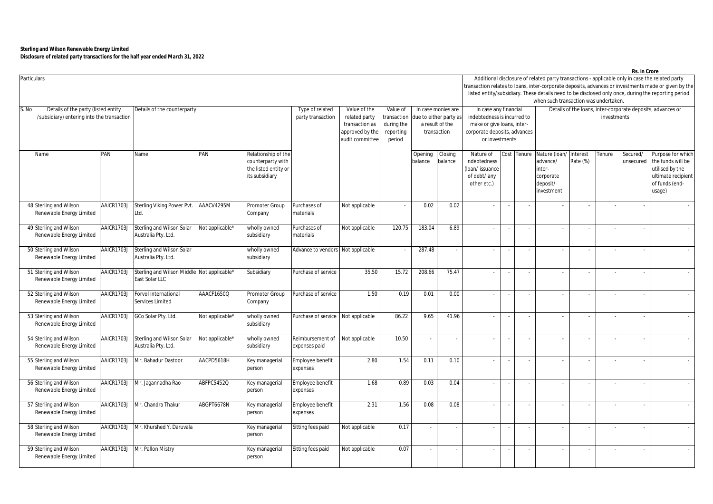|       | Particulars                                |                                                                                                     |                                            |                   |                      |                     |                 |                        |                             |                          |                              |    |                                                                            |                                       |          |                                                                                                                                                                                                        | 113. III VIVIT           |                    |  |  |  |  |  |  |  |
|-------|--------------------------------------------|-----------------------------------------------------------------------------------------------------|--------------------------------------------|-------------------|----------------------|---------------------|-----------------|------------------------|-----------------------------|--------------------------|------------------------------|----|----------------------------------------------------------------------------|---------------------------------------|----------|--------------------------------------------------------------------------------------------------------------------------------------------------------------------------------------------------------|--------------------------|--------------------|--|--|--|--|--|--|--|
|       |                                            |                                                                                                     |                                            |                   |                      |                     |                 |                        |                             |                          |                              |    |                                                                            |                                       |          | Additional disclosure of related party transactions - applicable only in case the related party<br>ransaction relates to loans, inter-corporate deposits, advances or investments made or given by the |                          |                    |  |  |  |  |  |  |  |
|       |                                            | listed entity/subsidiary. These details need to be disclosed only once, during the reporting period |                                            |                   |                      |                     |                 |                        |                             |                          |                              |    |                                                                            |                                       |          |                                                                                                                                                                                                        |                          |                    |  |  |  |  |  |  |  |
|       |                                            |                                                                                                     |                                            |                   |                      |                     |                 |                        |                             |                          |                              |    |                                                                            | when such transaction was undertaken. |          |                                                                                                                                                                                                        |                          |                    |  |  |  |  |  |  |  |
| S. No | Details of the party (listed entity        |                                                                                                     |                                            |                   |                      |                     | Value of the    | Value of               |                             | In case monies are       | In case any financial        |    |                                                                            |                                       |          |                                                                                                                                                                                                        |                          |                    |  |  |  |  |  |  |  |
|       |                                            |                                                                                                     | Details of the counterparty                |                   |                      | Type of related     |                 |                        |                             |                          |                              |    | Details of the loans, inter-corporate deposits, advances or<br>investments |                                       |          |                                                                                                                                                                                                        |                          |                    |  |  |  |  |  |  |  |
|       | /subsidiary) entering into the transaction |                                                                                                     |                                            | party transaction | related party        | transaction         |                 | due to either party as | indebtedness is incurred to |                          |                              |    |                                                                            |                                       |          |                                                                                                                                                                                                        |                          |                    |  |  |  |  |  |  |  |
|       |                                            |                                                                                                     |                                            |                   |                      |                     | transaction as  | during the             |                             | a result of the          | make or give loans, inter-   |    |                                                                            |                                       |          |                                                                                                                                                                                                        |                          |                    |  |  |  |  |  |  |  |
|       |                                            |                                                                                                     |                                            |                   |                      |                     | approved by the | reporting              |                             | transaction              | corporate deposits, advances |    |                                                                            |                                       |          |                                                                                                                                                                                                        |                          |                    |  |  |  |  |  |  |  |
|       |                                            |                                                                                                     |                                            |                   |                      |                     | audit committee | period                 |                             |                          | or investments               |    |                                                                            |                                       |          |                                                                                                                                                                                                        |                          |                    |  |  |  |  |  |  |  |
|       |                                            |                                                                                                     |                                            |                   |                      |                     |                 |                        |                             |                          |                              |    |                                                                            |                                       |          |                                                                                                                                                                                                        |                          |                    |  |  |  |  |  |  |  |
|       | Name                                       | PAN                                                                                                 | Name                                       | PAN               | Relationship of the  |                     |                 |                        | Opening                     | Closing                  | Nature of                    |    | Cost Tenure                                                                | Nature (loan/ Interest                |          | enure                                                                                                                                                                                                  | Secured/                 | Purpose for which  |  |  |  |  |  |  |  |
|       |                                            |                                                                                                     |                                            |                   | counterparty with    |                     |                 |                        | balance                     | balance                  | indebtedness                 |    |                                                                            | advance/                              | Rate (%) |                                                                                                                                                                                                        | unsecured                | the funds will be  |  |  |  |  |  |  |  |
|       |                                            |                                                                                                     |                                            |                   | the listed entity or |                     |                 |                        |                             |                          | (loan/issuance               |    |                                                                            | inter-                                |          |                                                                                                                                                                                                        |                          | utilised by the    |  |  |  |  |  |  |  |
|       |                                            |                                                                                                     |                                            |                   | its subsidiary       |                     |                 |                        |                             |                          | of debt/ any                 |    |                                                                            | corporate                             |          |                                                                                                                                                                                                        |                          | ultimate recipient |  |  |  |  |  |  |  |
|       |                                            |                                                                                                     |                                            |                   |                      |                     |                 |                        |                             |                          | other etc.)                  |    |                                                                            | deposit/                              |          |                                                                                                                                                                                                        |                          | of funds (end-     |  |  |  |  |  |  |  |
|       |                                            |                                                                                                     |                                            |                   |                      |                     |                 |                        |                             |                          |                              |    |                                                                            | investment                            |          |                                                                                                                                                                                                        |                          | usage)             |  |  |  |  |  |  |  |
|       |                                            |                                                                                                     |                                            |                   |                      |                     |                 |                        |                             |                          |                              |    |                                                                            |                                       |          |                                                                                                                                                                                                        |                          |                    |  |  |  |  |  |  |  |
|       | 48 Sterling and Wilson                     | AAICR1703.                                                                                          | Sterling Viking Power Pvt                  | AAACV4295M        | Promoter Group       | Purchases of        | Not applicable  |                        | 0.02                        | 0.02                     | $\sim$                       |    |                                                                            |                                       |          |                                                                                                                                                                                                        |                          |                    |  |  |  |  |  |  |  |
|       | Renewable Energy Limited                   |                                                                                                     | Ltd.                                       |                   | Company              | materials           |                 |                        |                             |                          |                              |    |                                                                            |                                       |          |                                                                                                                                                                                                        |                          |                    |  |  |  |  |  |  |  |
|       |                                            |                                                                                                     |                                            |                   |                      |                     |                 |                        |                             |                          |                              |    |                                                                            |                                       |          |                                                                                                                                                                                                        |                          |                    |  |  |  |  |  |  |  |
|       | 49 Sterling and Wilson                     | AAICR1703J                                                                                          | Sterling and Wilson Solar                  | Not applicable*   | wholly owned         | Purchases of        | Not applicable  | 120.75                 | 183.04                      | 6.89                     | $\sim$                       |    |                                                                            |                                       |          |                                                                                                                                                                                                        | $\sim$                   |                    |  |  |  |  |  |  |  |
|       | Renewable Energy Limited                   |                                                                                                     | Australia Pty. Ltd.                        |                   | subsidiary           | materials           |                 |                        |                             |                          |                              |    |                                                                            |                                       |          |                                                                                                                                                                                                        |                          |                    |  |  |  |  |  |  |  |
|       |                                            |                                                                                                     |                                            |                   |                      |                     |                 |                        |                             |                          |                              |    |                                                                            |                                       |          |                                                                                                                                                                                                        |                          |                    |  |  |  |  |  |  |  |
|       | 50 Sterling and Wilson                     | AAICR1703J                                                                                          | Sterling and Wilson Solar                  |                   | wholly owned         | Advance to vendors  | Not applicable  |                        | 287.48                      | $\hat{\phantom{a}}$      |                              |    |                                                                            |                                       |          |                                                                                                                                                                                                        |                          |                    |  |  |  |  |  |  |  |
|       | Renewable Energy Limited                   |                                                                                                     | Australia Pty. Ltd.                        |                   | subsidiary           |                     |                 |                        |                             |                          |                              |    |                                                                            |                                       |          |                                                                                                                                                                                                        |                          |                    |  |  |  |  |  |  |  |
|       |                                            |                                                                                                     |                                            |                   |                      |                     |                 |                        |                             |                          |                              |    |                                                                            |                                       |          |                                                                                                                                                                                                        |                          |                    |  |  |  |  |  |  |  |
|       | 51 Sterling and Wilson                     | AAICR1703J                                                                                          | Sterling and Wilson Middle Not applicable* |                   | Subsidiary           | Purchase of service | 35.50           | 15.72                  | 208.66                      | 75.47                    |                              |    |                                                                            |                                       |          |                                                                                                                                                                                                        |                          |                    |  |  |  |  |  |  |  |
|       | Renewable Energy Limited                   |                                                                                                     | East Solar LLC                             |                   |                      |                     |                 |                        |                             |                          |                              |    |                                                                            |                                       |          |                                                                                                                                                                                                        |                          |                    |  |  |  |  |  |  |  |
|       |                                            |                                                                                                     |                                            |                   |                      |                     |                 |                        |                             |                          |                              |    |                                                                            |                                       |          |                                                                                                                                                                                                        |                          |                    |  |  |  |  |  |  |  |
|       | 52 Sterling and Wilson                     | AAICR1703J                                                                                          | Forvol International                       | AAACF1650Q        | Promoter Group       | Purchase of service | 1.50            | 0.19                   | 0.01                        | 0.00                     |                              |    |                                                                            |                                       |          |                                                                                                                                                                                                        | $\sim$                   |                    |  |  |  |  |  |  |  |
|       | Renewable Energy Limited                   |                                                                                                     | Services Limited                           |                   | Company              |                     |                 |                        |                             |                          |                              |    |                                                                            |                                       |          |                                                                                                                                                                                                        |                          |                    |  |  |  |  |  |  |  |
|       |                                            |                                                                                                     |                                            |                   |                      |                     |                 |                        |                             |                          |                              |    |                                                                            |                                       |          |                                                                                                                                                                                                        |                          |                    |  |  |  |  |  |  |  |
|       | 53 Sterling and Wilson                     | AAICR1703J                                                                                          | GCo Solar Pty. Ltd.                        | Not applicable*   | wholly owned         | Purchase of service | Not applicable  | 86.22                  | 9.65                        | 41.96                    | $\sim$                       |    |                                                                            |                                       |          |                                                                                                                                                                                                        | $\overline{\phantom{a}}$ |                    |  |  |  |  |  |  |  |
|       | Renewable Energy Limited                   |                                                                                                     |                                            |                   | subsidiary           |                     |                 |                        |                             |                          |                              |    |                                                                            |                                       |          |                                                                                                                                                                                                        |                          |                    |  |  |  |  |  |  |  |
|       |                                            |                                                                                                     |                                            |                   |                      |                     |                 |                        |                             |                          |                              |    |                                                                            |                                       |          |                                                                                                                                                                                                        |                          |                    |  |  |  |  |  |  |  |
|       | 54 Sterling and Wilson                     | AAICR1703J                                                                                          | Sterling and Wilson Solar                  | Not applicable*   | wholly owned         | Reimbursement of    | Not applicable  | 10.50                  |                             | $\overline{\phantom{a}}$ | $\sim$                       |    |                                                                            |                                       |          |                                                                                                                                                                                                        | $\sim$                   |                    |  |  |  |  |  |  |  |
|       | Renewable Energy Limited                   |                                                                                                     | Australia Pty. Ltd.                        |                   | subsidiary           | expenses paid       |                 |                        |                             |                          |                              |    |                                                                            |                                       |          |                                                                                                                                                                                                        |                          |                    |  |  |  |  |  |  |  |
|       |                                            |                                                                                                     |                                            |                   |                      |                     |                 |                        |                             |                          |                              |    |                                                                            |                                       |          |                                                                                                                                                                                                        |                          |                    |  |  |  |  |  |  |  |
|       | 55 Sterling and Wilson                     | AAICR1703J                                                                                          | Mr. Bahadur Dastoor                        | AACPD5618H        | Key managerial       | Employee benefit    | 2.80            | 1.54                   | 0.11                        | 0.10                     |                              |    |                                                                            |                                       |          |                                                                                                                                                                                                        |                          |                    |  |  |  |  |  |  |  |
|       | Renewable Energy Limited                   |                                                                                                     |                                            |                   | person               | expenses            |                 |                        |                             |                          |                              |    |                                                                            |                                       |          |                                                                                                                                                                                                        |                          |                    |  |  |  |  |  |  |  |
|       |                                            |                                                                                                     |                                            |                   |                      |                     |                 |                        |                             |                          |                              |    |                                                                            |                                       |          |                                                                                                                                                                                                        |                          |                    |  |  |  |  |  |  |  |
|       | 56 Sterling and Wilson                     | AAICR1703J                                                                                          | Mr. Jagannadha Rao                         | ABFPC5452Q        | Key managerial       | Employee benefit    | 1.68            | 0.89                   | 0.03                        | 0.04                     |                              |    |                                                                            |                                       |          |                                                                                                                                                                                                        |                          |                    |  |  |  |  |  |  |  |
|       | Renewable Energy Limited                   |                                                                                                     |                                            |                   | person               | expenses            |                 |                        |                             |                          |                              |    |                                                                            |                                       |          |                                                                                                                                                                                                        |                          |                    |  |  |  |  |  |  |  |
|       |                                            |                                                                                                     |                                            |                   |                      |                     |                 |                        |                             |                          |                              |    |                                                                            |                                       |          |                                                                                                                                                                                                        |                          |                    |  |  |  |  |  |  |  |
|       | 57 Sterling and Wilson                     | AAICR1703J                                                                                          | Mr. Chandra Thakur                         | ABGPT6678N        |                      |                     | 2.31            |                        | 0.08                        | 0.08                     | $\sim$                       |    |                                                                            |                                       |          |                                                                                                                                                                                                        |                          |                    |  |  |  |  |  |  |  |
|       | Renewable Energy Limited                   |                                                                                                     |                                            |                   | Key managerial       | Employee benefit    |                 | 1.56                   |                             |                          |                              |    | $\sim$                                                                     |                                       |          |                                                                                                                                                                                                        | $\sim$                   |                    |  |  |  |  |  |  |  |
|       |                                            |                                                                                                     |                                            |                   | person               | expenses            |                 |                        |                             |                          |                              |    |                                                                            |                                       |          |                                                                                                                                                                                                        |                          |                    |  |  |  |  |  |  |  |
|       |                                            |                                                                                                     |                                            |                   |                      |                     |                 |                        |                             |                          |                              |    |                                                                            |                                       |          |                                                                                                                                                                                                        |                          |                    |  |  |  |  |  |  |  |
|       | 58 Sterling and Wilson                     | AAICR1703J                                                                                          | Mr. Khurshed Y. Daruvala                   |                   | Key managerial       | Sitting fees paid   | Not applicable  | 0.17                   |                             | $\blacksquare$           | $\sim$                       |    | $\sim$                                                                     | $\overline{\phantom{a}}$              | $\sim$   |                                                                                                                                                                                                        | $\blacksquare$           |                    |  |  |  |  |  |  |  |
|       | Renewable Energy Limited                   |                                                                                                     |                                            |                   | person               |                     |                 |                        |                             |                          |                              |    |                                                                            |                                       |          |                                                                                                                                                                                                        |                          |                    |  |  |  |  |  |  |  |
|       |                                            |                                                                                                     |                                            |                   |                      |                     |                 |                        |                             |                          |                              |    |                                                                            |                                       |          |                                                                                                                                                                                                        |                          |                    |  |  |  |  |  |  |  |
|       | 59 Sterling and Wilson                     | AAICR1703J                                                                                          | Mr. Pallon Mistry                          |                   | Key managerial       | Sitting fees paid   | Not applicable  | 0.07                   |                             | $\overline{\phantom{a}}$ | $\sim$                       | ÷. | $\sim$                                                                     | $\sim$                                | $\sim$   |                                                                                                                                                                                                        | $\sim$                   |                    |  |  |  |  |  |  |  |
|       | Renewable Energy Limited                   |                                                                                                     |                                            |                   | person               |                     |                 |                        |                             |                          |                              |    |                                                                            |                                       |          |                                                                                                                                                                                                        |                          |                    |  |  |  |  |  |  |  |
|       |                                            |                                                                                                     |                                            |                   |                      |                     |                 |                        |                             |                          |                              |    |                                                                            |                                       |          |                                                                                                                                                                                                        |                          |                    |  |  |  |  |  |  |  |

**Rs. in Crore**